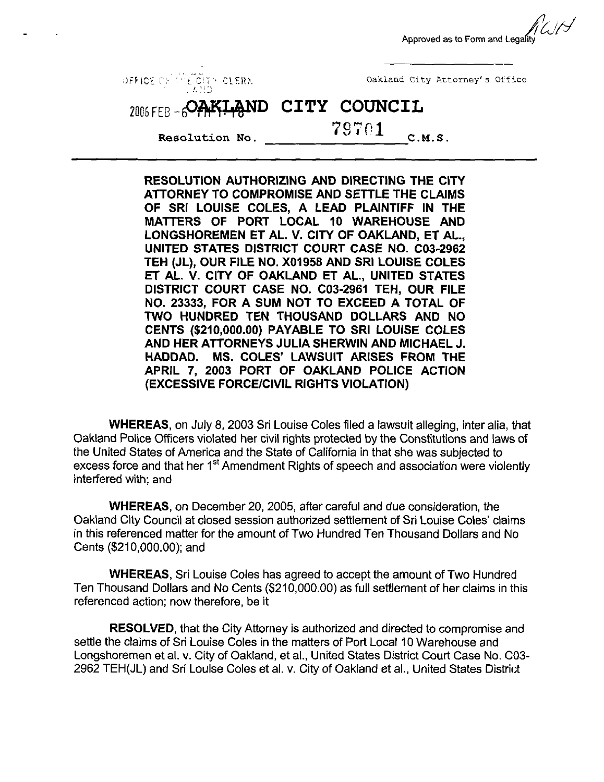Approved as to Form and Legalit



RESOLUTION AUTHORIZING AND DIRECTING THE CITY ATTORNEY TO COMPROMISE AND SETTLE THE CLAIMS OF SRI LOUISE COLES, A LEAD PLAINTIFF IN THE MATTERS OF PORT LOCAL 10 WAREHOUSE AND LONGSHOREMEN ET AL. V. CITY OF OAKLAND, ET AL., UNITED STATES DISTRICT COURT CASE NO. C03-2962 TEH (JL), OUR FILE NO. X01958 AND SRI LOUISE COLES ET AL. V. CITY OF OAKLAND ET AL., UNITED STATES DISTRICT COURT CASE NO. C03-2961 TEH, OUR FILE NO. 23333, FOR A SUM NOT TO EXCEED A TOTAL OF TWO HUNDRED TEN THOUSAND DOLLARS AND NO CENTS (\$210,000.00) PAYABLE TO SRI LOUISE COLES AND HER ATTORNEYS JULIA SHERWIN AND MICHAEL J. HADDAD. MS. COLES' LAWSUIT ARISES FROM THE APRIL 7, 2003 PORT OF OAKLAND POLICE ACTION (EXCESSIVE FORCE/CIVIL RIGHTS VIOLATION)

WHEREAS, on July 8, 2003 Sri Louise Coles filed a lawsuit alleging, inter alia, that Oakland Police Officers violated her civil rights protected by the Constitutions and laws of the United States of America and the State of California in that she was subjected to excess force and that her 1<sup>st</sup> Amendment Rights of speech and association were violently interfered with; and

WHEREAS, on December 20, 2005, after careful and due consideration, the Oakland City Council at closed session authorized settlement of Sri Louise Coles' claims in this referenced matter for the amount of Two Hundred Ten Thousand Dollars and No Cents (\$210,000.00); and

WHEREAS, Sri Louise Coles has agreed to accept the amount of Two Hundred Ten Thousand Dollars and No Cents (\$210,000.00) as full settlement of her claims in this referenced action; now therefore, be it

RESOLVED, that the City Attorney is authorized and directed to compromise and settle the claims of Sri Louise Coles in the matters of Port Local 10 Warehouse and Longshoremen et al. v. City of Oakland, et al., United States District Court Case No, C03- 2962 TEH(JL) and Sri Louise Coles et al. v. City of Oakland et al., United States District